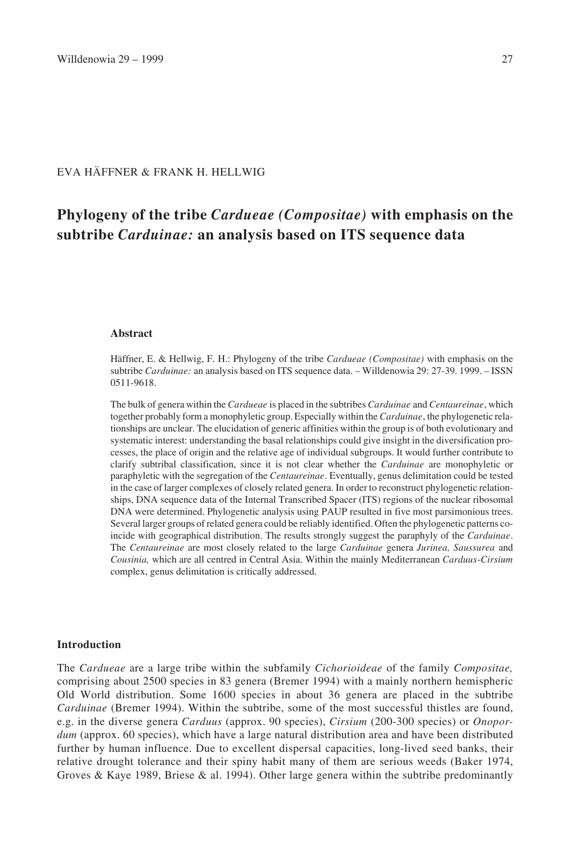# EVA HÄFFNER & FRANK H. HELLWIG

# **Phylogeny of the tribe** *Cardueae (Compositae)* **with emphasis on the subtribe** *Carduinae:* **an analysis based on ITS sequence data**

#### **Abstract**

Häffner, E. & Hellwig, F. H.: Phylogeny of the tribe *Cardueae (Compositae)* with emphasis on the subtribe *Carduinae:* an analysis based on ITS sequence data. – Willdenowia 29: 27-39. 1999. – ISSN 0511-9618.

The bulk of genera within the *Cardueae* is placed in the subtribes *Carduinae* and *Centaureinae*, which together probably form a monophyletic group. Especially within the *Carduinae*, the phylogenetic relationships are unclear. The elucidation of generic affinities within the group is of both evolutionary and systematic interest: understanding the basal relationships could give insight in the diversification processes, the place of origin and the relative age of individual subgroups. It would further contribute to clarify subtribal classification, since it is not clear whether the *Carduinae* are monophyletic or paraphyletic with the segregation of the *Centaureinae*. Eventually, genus delimitation could be tested in the case of larger complexes of closely related genera. In order to reconstruct phylogenetic relationships, DNA sequence data of the Internal Transcribed Spacer (ITS) regions of the nuclear ribosomal DNA were determined. Phylogenetic analysis using PAUP resulted in five most parsimonious trees. Several larger groups of related genera could be reliably identified. Often the phylogenetic patterns coincide with geographical distribution. The results strongly suggest the paraphyly of the *Carduinae*. The *Centaureinae* are most closely related to the large *Carduinae* genera *Jurinea, Saussurea* and *Cousinia,* which are all centred in Central Asia. Within the mainly Mediterranean *Carduus*-*Cirsium* complex, genus delimitation is critically addressed.

## **Introduction**

The *Cardueae* are a large tribe within the subfamily *Cichorioideae* of the family *Compositae,* comprising about 2500 species in 83 genera (Bremer 1994) with a mainly northern hemispheric Old World distribution. Some 1600 species in about 36 genera are placed in the subtribe *Carduinae* (Bremer 1994). Within the subtribe, some of the most successful thistles are found, e.g. in the diverse genera *Carduus* (approx. 90 species), *Cirsium* (200-300 species) or *Onopordum* (approx. 60 species), which have a large natural distribution area and have been distributed further by human influence. Due to excellent dispersal capacities, long-lived seed banks, their relative drought tolerance and their spiny habit many of them are serious weeds (Baker 1974, Groves & Kaye 1989, Briese & al. 1994). Other large genera within the subtribe predominantly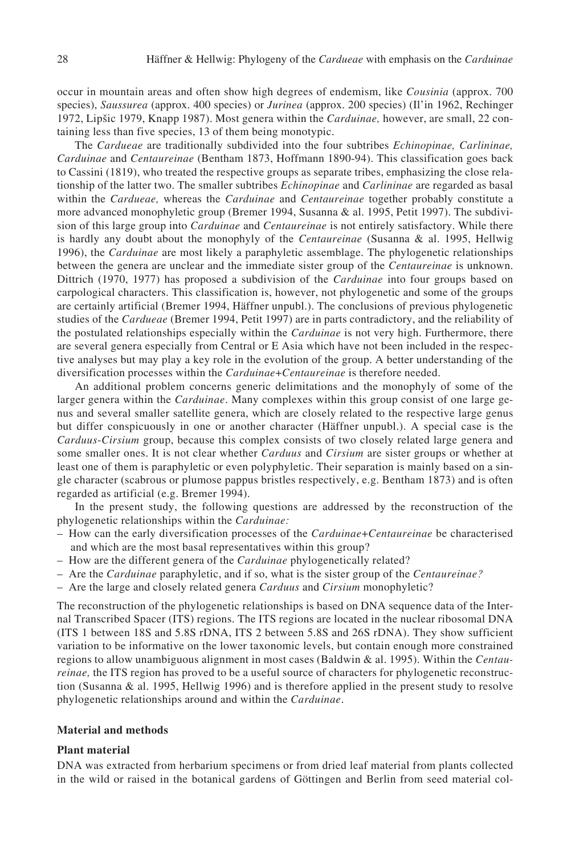occur in mountain areas and often show high degrees of endemism, like *Cousinia* (approx. 700 species), *Saussurea* (approx. 400 species) or *Jurinea* (approx. 200 species) (Il'in 1962, Rechinger 1972, Lipsic 1979, Knapp 1987). Most genera within the *Carduinae,* however, are small, 22 containing less than five species, 13 of them being monotypic.

The *Cardueae* are traditionally subdivided into the four subtribes *Echinopinae, Carlininae, Carduinae* and *Centaureinae* (Bentham 1873, Hoffmann 1890-94). This classification goes back to Cassini (1819), who treated the respective groups as separate tribes, emphasizing the close relationship of the latter two. The smaller subtribes *Echinopinae* and *Carlininae* are regarded as basal within the *Cardueae,* whereas the *Carduinae* and *Centaureinae* together probably constitute a more advanced monophyletic group (Bremer 1994, Susanna & al. 1995, Petit 1997). The subdivision of this large group into *Carduinae* and *Centaureinae* is not entirely satisfactory. While there is hardly any doubt about the monophyly of the *Centaureinae* (Susanna & al. 1995, Hellwig 1996), the *Carduinae* are most likely a paraphyletic assemblage. The phylogenetic relationships between the genera are unclear and the immediate sister group of the *Centaureinae* is unknown. Dittrich (1970, 1977) has proposed a subdivision of the *Carduinae* into four groups based on carpological characters. This classification is, however, not phylogenetic and some of the groups are certainly artificial (Bremer 1994, Häffner unpubl.). The conclusions of previous phylogenetic studies of the *Cardueae* (Bremer 1994, Petit 1997) are in parts contradictory, and the reliability of the postulated relationships especially within the *Carduinae* is not very high. Furthermore, there are several genera especially from Central or E Asia which have not been included in the respective analyses but may play a key role in the evolution of the group. A better understanding of the diversification processes within the *Carduinae*+*Centaureinae* is therefore needed.

An additional problem concerns generic delimitations and the monophyly of some of the larger genera within the *Carduinae*. Many complexes within this group consist of one large genus and several smaller satellite genera, which are closely related to the respective large genus but differ conspicuously in one or another character (Häffner unpubl.). A special case is the *Carduus*-*Cirsium* group, because this complex consists of two closely related large genera and some smaller ones. It is not clear whether *Carduus* and *Cirsium* are sister groups or whether at least one of them is paraphyletic or even polyphyletic. Their separation is mainly based on a single character (scabrous or plumose pappus bristles respectively, e.g. Bentham 1873) and is often regarded as artificial (e.g. Bremer 1994).

In the present study, the following questions are addressed by the reconstruction of the phylogenetic relationships within the *Carduinae:*

- How can the early diversification processes of the *Carduinae*+*Centaureinae* be characterised and which are the most basal representatives within this group?
- How are the different genera of the *Carduinae* phylogenetically related?
- Are the *Carduinae* paraphyletic, and if so, what is the sister group of the *Centaureinae?*
- Are the large and closely related genera *Carduus* and *Cirsium* monophyletic?

The reconstruction of the phylogenetic relationships is based on DNA sequence data of the Internal Transcribed Spacer (ITS) regions. The ITS regions are located in the nuclear ribosomal DNA (ITS 1 between 18S and 5.8S rDNA, ITS 2 between 5.8S and 26S rDNA). They show sufficient variation to be informative on the lower taxonomic levels, but contain enough more constrained regions to allow unambiguous alignment in most cases (Baldwin & al. 1995). Within the *Centaureinae,* the ITS region has proved to be a useful source of characters for phylogenetic reconstruction (Susanna & al. 1995, Hellwig 1996) and is therefore applied in the present study to resolve phylogenetic relationships around and within the *Carduinae*.

#### **Material and methods**

#### **Plant material**

DNA was extracted from herbarium specimens or from dried leaf material from plants collected in the wild or raised in the botanical gardens of Göttingen and Berlin from seed material col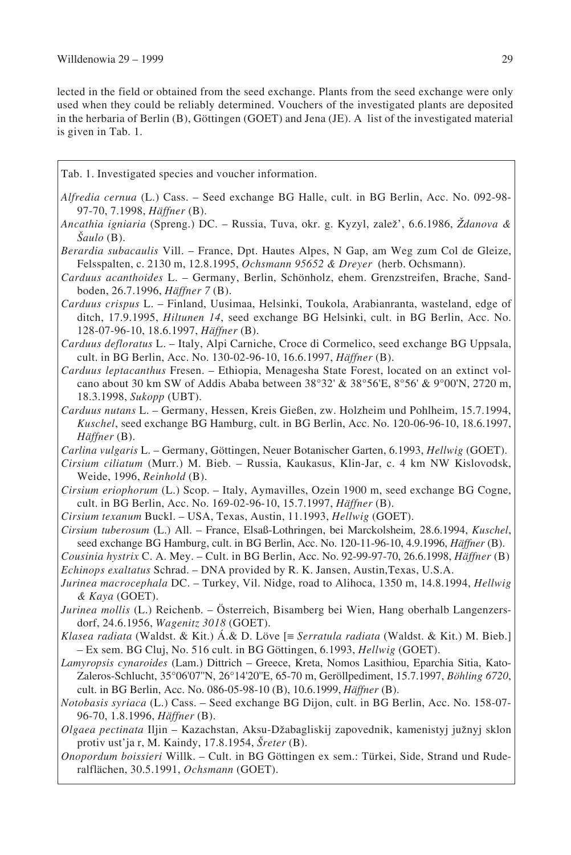lected in the field or obtained from the seed exchange. Plants from the seed exchange were only used when they could be reliably determined. Vouchers of the investigated plants are deposited in the herbaria of Berlin (B), Göttingen (GOET) and Jena (JE). A list of the investigated material is given in Tab. 1.

- Tab. 1. Investigated species and voucher information.
- *Alfredia cernua* (L.) Cass. Seed exchange BG Halle, cult. in BG Berlin, Acc. No. 092-98- 97-70, 7.1998, *Häffner* (B).
- *Ancathia igniaria* (Spreng.) DC. Russia, Tuva, okr. g. Kyzyl, zalez', 6.6.1986, *Zdanova & Saulo* (B).
- *Berardia subacaulis* Vill. France, Dpt. Hautes Alpes, N Gap, am Weg zum Col de Gleize, Felsspalten, c. 2130 m, 12.8.1995, *Ochsmann 95652 & Dreyer* (herb. Ochsmann).
- *Carduus acanthoides* L. Germany, Berlin, Schönholz, ehem. Grenzstreifen, Brache, Sandboden, 26.7.1996, *Häffner 7* (B).
- *Carduus crispus* L. Finland, Uusimaa, Helsinki, Toukola, Arabianranta, wasteland, edge of ditch, 17.9.1995, *Hiltunen 14*, seed exchange BG Helsinki, cult. in BG Berlin, Acc. No. 128-07-96-10, 18.6.1997, *Häffner* (B).
- *Carduus defloratus* L. Italy, Alpi Carniche, Croce di Cormelico, seed exchange BG Uppsala, cult. in BG Berlin, Acc. No. 130-02-96-10, 16.6.1997, *Häffner* (B).
- *Carduus leptacanthus* Fresen. Ethiopia, Menagesha State Forest, located on an extinct volcano about 30 km SW of Addis Ababa between 38°32' & 38°56'E, 8°56' & 9°00'N, 2720 m, 18.3.1998, *Sukopp* (UBT).
- *Carduus nutans* L. Germany, Hessen, Kreis Gießen, zw. Holzheim und Pohlheim, 15.7.1994, *Kuschel*, seed exchange BG Hamburg, cult. in BG Berlin, Acc. No. 120-06-96-10, 18.6.1997, *Häffner* (B).
- *Carlina vulgaris* L. Germany, Göttingen, Neuer Botanischer Garten, 6.1993, *Hellwig* (GOET).
- *Cirsium ciliatum* (Murr.) M. Bieb. Russia, Kaukasus, Klin-Jar, c. 4 km NW Kislovodsk, Weide, 1996, *Reinhold* (B).
- *Cirsium eriophorum* (L.) Scop. Italy, Aymavilles, Ozein 1900 m, seed exchange BG Cogne, cult. in BG Berlin, Acc. No. 169-02-96-10, 15.7.1997, *Häffner* (B).
- *Cirsium texanum* Buckl. USA, Texas, Austin, 11.1993, *Hellwig* (GOET).
- *Cirsium tuberosum* (L.) All. France, Elsaß-Lothringen, bei Marckolsheim, 28.6.1994, *Kuschel*, seed exchange BG Hamburg, cult. in BG Berlin, Acc. No. 120-11-96-10, 4.9.1996, *Häffner* (B).
- *Cousinia hystrix* C. A. Mey. Cult. in BG Berlin, Acc. No. 92-99-97-70, 26.6.1998, *Häffner* (B) *Echinops exaltatus* Schrad. – DNA provided by R. K. Jansen, Austin,Texas, U.S.A.
- *Jurinea macrocephala* DC. Turkey, Vil. Nidge, road to Alihoca, 1350 m, 14.8.1994, *Hellwig & Kaya* (GOET).
- *Jurinea mollis* (L.) Reichenb. Österreich, Bisamberg bei Wien, Hang oberhalb Langenzersdorf, 24.6.1956, *Wagenitz 3018* (GOET).
- *Klasea radiata* (Waldst. & Kit.) Á.& D. Löve [≡ *Serratula radiata* (Waldst. & Kit.) M. Bieb.] – Ex sem. BG Cluj, No. 516 cult. in BG Göttingen, 6.1993, *Hellwig* (GOET).
- *Lamyropsis cynaroides* (Lam.) Dittrich Greece, Kreta, Nomos Lasithiou, Eparchia Sitia, Kato-Zaleros-Schlucht, 35°06'07''N, 26°14'20''E, 65-70 m, Geröllpediment, 15.7.1997, *Böhling 6720*, cult. in BG Berlin, Acc. No. 086-05-98-10 (B), 10.6.1999, *Häffner* (B).
- *Notobasis syriaca* (L.) Cass. Seed exchange BG Dijon, cult. in BG Berlin, Acc. No. 158-07- 96-70, 1.8.1996, *Häffner* (B).
- *Olgaea pectinata* Iljin Kazachstan, Aksu-Dzabagliskij zapovednik, kamenistyj juznyj sklon protiv ust'ja r, M. Kaindy, 17.8.1954, *Sreter* (B).
- *Onopordum boissieri* Willk. Cult. in BG Göttingen ex sem.: Türkei, Side, Strand und Ruderalflächen, 30.5.1991, *Ochsmann* (GOET).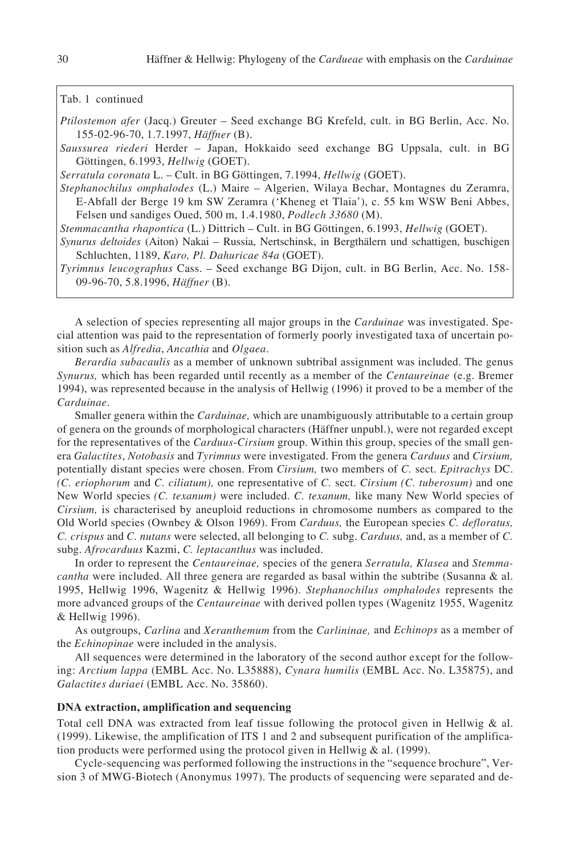## Tab. 1 continued

*Ptilostemon afer* (Jacq.) Greuter – Seed exchange BG Krefeld, cult. in BG Berlin, Acc. No. 155-02-96-70, 1.7.1997, *Häffner* (B).

*Saussurea riederi* Herder – Japan, Hokkaido seed exchange BG Uppsala, cult. in BG Göttingen, 6.1993, *Hellwig* (GOET).

*Serratula coronata* L. – Cult. in BG Göttingen, 7.1994, *Hellwig* (GOET).

*Stephanochilus omphalodes* (L.) Maire – Algerien, Wilaya Bechar, Montagnes du Zeramra, E-Abfall der Berge 19 km SW Zeramra ('Kheneg et Tlaia'), c. 55 km WSW Beni Abbes, Felsen und sandiges Oued, 500 m, 1.4.1980, *Podlech 33680* (M).

*Stemmacantha rhapontica* (L.) Dittrich – Cult. in BG Göttingen, 6.1993, *Hellwig* (GOET).

*Synurus deltoides* (Aiton) Nakai – Russia, Nertschinsk, in Bergthälern und schattigen, buschigen Schluchten, 1189, *Karo, Pl. Dahuricae 84a* (GOET).

*Tyrimnus leucographus* Cass. – Seed exchange BG Dijon, cult. in BG Berlin, Acc. No. 158- 09-96-70, 5.8.1996, *Häffner* (B).

A selection of species representing all major groups in the *Carduinae* was investigated. Special attention was paid to the representation of formerly poorly investigated taxa of uncertain position such as *Alfredia*, *Ancathia* and *Olgaea*.

*Berardia subacaulis* as a member of unknown subtribal assignment was included. The genus *Synurus,* which has been regarded until recently as a member of the *Centaureinae* (e.g. Bremer 1994), was represented because in the analysis of Hellwig (1996) it proved to be a member of the *Carduinae*.

Smaller genera within the *Carduinae,* which are unambiguously attributable to a certain group of genera on the grounds of morphological characters (Häffner unpubl.), were not regarded except for the representatives of the *Carduus*-*Cirsium* group. Within this group, species of the small genera *Galactites*, *Notobasis* and *Tyrimnus* were investigated. From the genera *Carduus* and *Cirsium,* potentially distant species were chosen. From *Cirsium,* two members of *C.* sect. *Epitrachys* DC. *(C. eriophorum* and *C. ciliatum),* one representative of *C.* sect. *Cirsium (C. tuberosum)* and one New World species *(C. texanum)* were included. *C. texanum,* like many New World species of *Cirsium,* is characterised by aneuploid reductions in chromosome numbers as compared to the Old World species (Ownbey & Olson 1969). From *Carduus,* the European species *C. defloratus, C. crispus* and *C. nutans* were selected, all belonging to *C.* subg. *Carduus,* and, as a member of *C.* subg. *Afrocarduus* Kazmi, *C. leptacanthus* was included.

In order to represent the *Centaureinae,* species of the genera *Serratula, Klasea* and *Stemmacantha* were included. All three genera are regarded as basal within the subtribe (Susanna & al. 1995, Hellwig 1996, Wagenitz & Hellwig 1996). *Stephanochilus omphalodes* represents the more advanced groups of the *Centaureinae* with derived pollen types (Wagenitz 1955, Wagenitz & Hellwig 1996).

As outgroups, *Carlina* and *Xeranthemum* from the *Carlininae,* and *Echinops* as a member of the *Echinopinae* were included in the analysis.

All sequences were determined in the laboratory of the second author except for the following: *Arctium lappa* (EMBL Acc. No. L35888), *Cynara humilis* (EMBL Acc. No. L35875), and *Galactites duriaei* (EMBL Acc. No. 35860).

## **DNA extraction, amplification and sequencing**

Total cell DNA was extracted from leaf tissue following the protocol given in Hellwig & al. (1999). Likewise, the amplification of ITS 1 and 2 and subsequent purification of the amplification products were performed using the protocol given in Hellwig & al. (1999).

Cycle-sequencing was performed following the instructions in the "sequence brochure", Version 3 of MWG-Biotech (Anonymus 1997). The products of sequencing were separated and de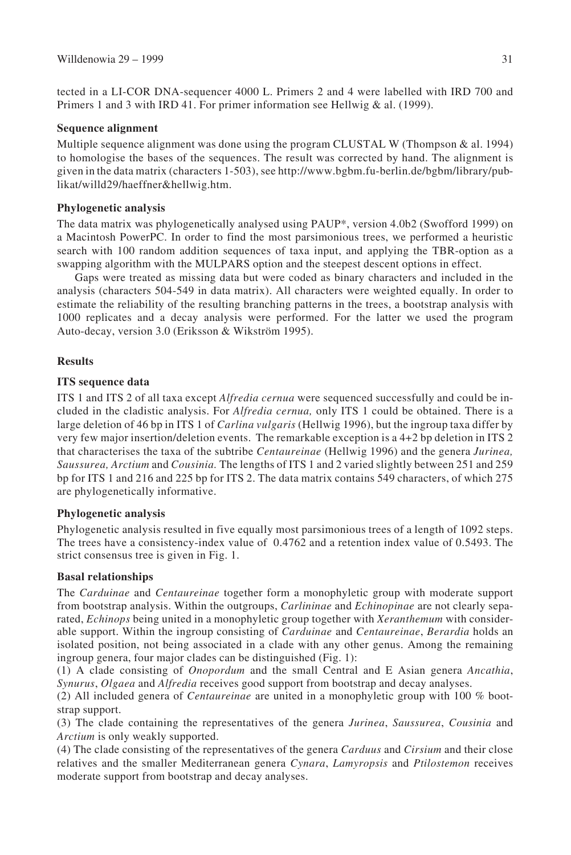tected in a LI-COR DNA-sequencer 4000 L. Primers 2 and 4 were labelled with IRD 700 and Primers 1 and 3 with IRD 41. For primer information see Hellwig & al. (1999).

## **Sequence alignment**

Multiple sequence alignment was done using the program CLUSTAL W (Thompson  $\&$  al. 1994) to homologise the bases of the sequences. The result was corrected by hand. The alignment is given in the data matrix (characters 1-503), see http://www.bgbm.fu-berlin.de/bgbm/library/publikat/willd29/haeffner&hellwig.htm.

## **Phylogenetic analysis**

The data matrix was phylogenetically analysed using PAUP\*, version 4.0b2 (Swofford 1999) on a Macintosh PowerPC. In order to find the most parsimonious trees, we performed a heuristic search with 100 random addition sequences of taxa input, and applying the TBR-option as a swapping algorithm with the MULPARS option and the steepest descent options in effect.

Gaps were treated as missing data but were coded as binary characters and included in the analysis (characters 504-549 in data matrix). All characters were weighted equally. In order to estimate the reliability of the resulting branching patterns in the trees, a bootstrap analysis with 1000 replicates and a decay analysis were performed. For the latter we used the program Auto-decay, version 3.0 (Eriksson & Wikström 1995).

## **Results**

## **ITS sequence data**

ITS 1 and ITS 2 of all taxa except *Alfredia cernua* were sequenced successfully and could be included in the cladistic analysis. For *Alfredia cernua,* only ITS 1 could be obtained. There is a large deletion of 46 bp in ITS 1 of *Carlina vulgaris* (Hellwig 1996), but the ingroup taxa differ by very few major insertion/deletion events. The remarkable exception is a 4+2 bp deletion in ITS 2 that characterises the taxa of the subtribe *Centaureinae* (Hellwig 1996) and the genera *Jurinea, Saussurea, Arctium* and *Cousinia.* The lengths of ITS 1 and 2 varied slightly between 251 and 259 bp for ITS 1 and 216 and 225 bp for ITS 2. The data matrix contains 549 characters, of which 275 are phylogenetically informative.

## **Phylogenetic analysis**

Phylogenetic analysis resulted in five equally most parsimonious trees of a length of 1092 steps. The trees have a consistency-index value of 0.4762 and a retention index value of 0.5493. The strict consensus tree is given in Fig. 1.

## **Basal relationships**

The *Carduinae* and *Centaureinae* together form a monophyletic group with moderate support from bootstrap analysis. Within the outgroups, *Carlininae* and *Echinopinae* are not clearly separated, *Echinops* being united in a monophyletic group together with *Xeranthemum* with considerable support. Within the ingroup consisting of *Carduinae* and *Centaureinae*, *Berardia* holds an isolated position, not being associated in a clade with any other genus. Among the remaining ingroup genera, four major clades can be distinguished (Fig. 1):

(1) A clade consisting of *Onopordum* and the small Central and E Asian genera *Ancathia*, *Synurus*, *Olgaea* and *Alfredia* receives good support from bootstrap and decay analyses.

(2) All included genera of *Centaureinae* are united in a monophyletic group with 100 % bootstrap support.

(3) The clade containing the representatives of the genera *Jurinea*, *Saussurea*, *Cousinia* and *Arctium* is only weakly supported.

(4) The clade consisting of the representatives of the genera *Carduus* and *Cirsium* and their close relatives and the smaller Mediterranean genera *Cynara*, *Lamyropsis* and *Ptilostemon* receives moderate support from bootstrap and decay analyses.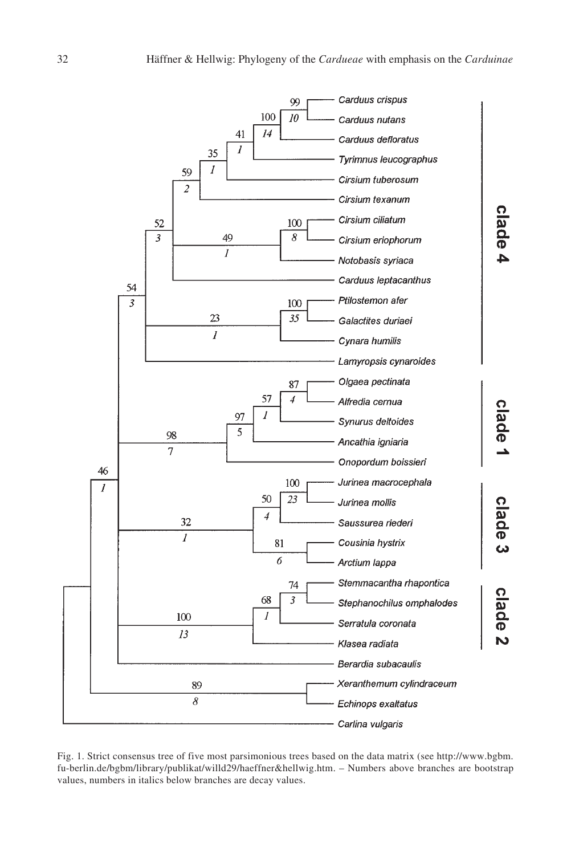

Fig. 1. Strict consensus tree of five most parsimonious trees based on the data matrix (see http://www.bgbm. fu-berlin.de/bgbm/library/publikat/willd29/haeffner&hellwig.htm. – Numbers above branches are bootstrap values, numbers in italics below branches are decay values.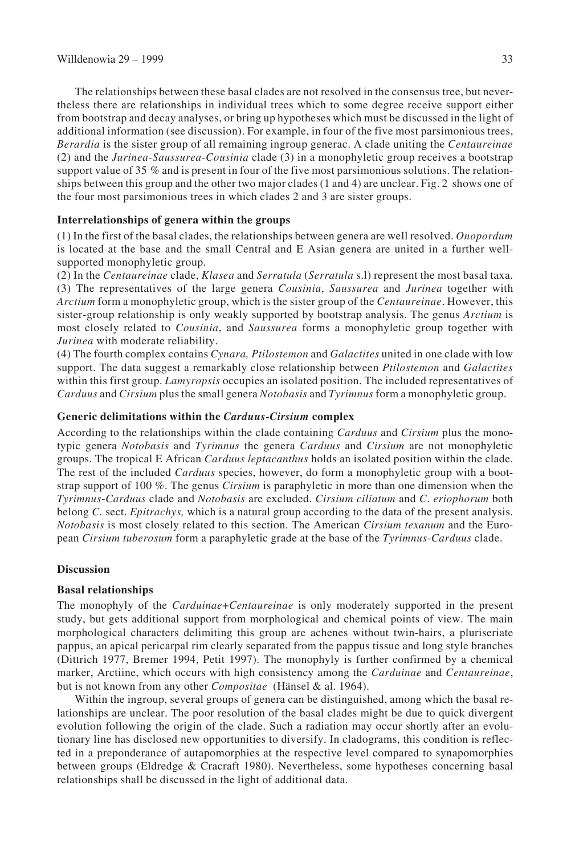The relationships between these basal clades are not resolved in the consensus tree, but nevertheless there are relationships in individual trees which to some degree receive support either from bootstrap and decay analyses, or bring up hypotheses which must be discussed in the light of additional information (see discussion). For example, in four of the five most parsimonious trees, *Berardia* is the sister group of all remaining ingroup generac. A clade uniting the *Centaureinae* (2) and the *Jurinea-Saussurea*-*Cousinia* clade (3) in a monophyletic group receives a bootstrap support value of 35 % and is present in four of the five most parsimonious solutions. The relationships between this group and the other two major clades (1 and 4) are unclear. Fig. 2 shows one of the four most parsimonious trees in which clades 2 and 3 are sister groups.

## **Interrelationships of genera within the groups**

(1) In the first of the basal clades, the relationships between genera are well resolved. *Onopordum* is located at the base and the small Central and E Asian genera are united in a further wellsupported monophyletic group.

(2) In the *Centaureinae* clade, *Klasea* and *Serratula* (*Serratula* s.l) represent the most basal taxa. (3) The representatives of the large genera *Cousinia*, *Saussurea* and *Jurinea* together with *Arctium* form a monophyletic group, which is the sister group of the *Centaureinae*. However, this sister-group relationship is only weakly supported by bootstrap analysis. The genus *Arctium* is most closely related to *Cousinia*, and *Saussurea* forms a monophyletic group together with *Jurinea* with moderate reliability.

(4) The fourth complex contains *Cynara, Ptilostemon* and *Galactites* united in one clade with low support. The data suggest a remarkably close relationship between *Ptilostemon* and *Galactites* within this first group. *Lamyropsis* occupies an isolated position. The included representatives of *Carduus* and *Cirsium* plus the small genera *Notobasis* and *Tyrimnus* form a monophyletic group.

#### **Generic delimitations within the** *Carduus***-***Cirsium* **complex**

According to the relationships within the clade containing *Carduus* and *Cirsium* plus the monotypic genera *Notobasis* and *Tyrimnus* the genera *Carduus* and *Cirsium* are not monophyletic groups. The tropical E African *Carduus leptacanthus* holds an isolated position within the clade. The rest of the included *Carduus* species, however, do form a monophyletic group with a bootstrap support of 100 %. The genus *Cirsium* is paraphyletic in more than one dimension when the *Tyrimnus*-*Carduus* clade and *Notobasis* are excluded. *Cirsium ciliatum* and *C*. *eriophorum* both belong *C.* sect. *Epitrachys,* which is a natural group according to the data of the present analysis. *Notobasis* is most closely related to this section. The American *Cirsium texanum* and the European *Cirsium tuberosum* form a paraphyletic grade at the base of the *Tyrimnus*-*Carduus* clade.

#### **Discussion**

#### **Basal relationships**

The monophyly of the *Carduinae*+*Centaureinae* is only moderately supported in the present study, but gets additional support from morphological and chemical points of view. The main morphological characters delimiting this group are achenes without twin-hairs, a pluriseriate pappus, an apical pericarpal rim clearly separated from the pappus tissue and long style branches (Dittrich 1977, Bremer 1994, Petit 1997). The monophyly is further confirmed by a chemical marker, Arctiine, which occurs with high consistency among the *Carduinae* and *Centaureinae*, but is not known from any other *Compositae* (Hänsel & al. 1964).

Within the ingroup, several groups of genera can be distinguished, among which the basal relationships are unclear. The poor resolution of the basal clades might be due to quick divergent evolution following the origin of the clade. Such a radiation may occur shortly after an evolutionary line has disclosed new opportunities to diversify. In cladograms, this condition is reflected in a preponderance of autapomorphies at the respective level compared to synapomorphies between groups (Eldredge & Cracraft 1980). Nevertheless, some hypotheses concerning basal relationships shall be discussed in the light of additional data.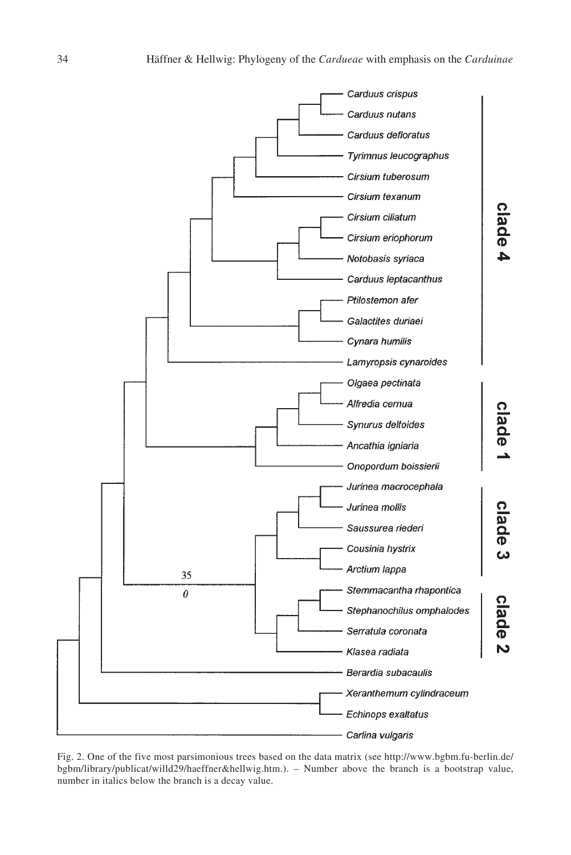

Fig. 2. One of the five most parsimonious trees based on the data matrix (see http://www.bgbm.fu-berlin.de/ bgbm/library/publicat/willd29/haeffner&hellwig.htm.). – Number above the branch is a bootstrap value, number in italics below the branch is a decay value.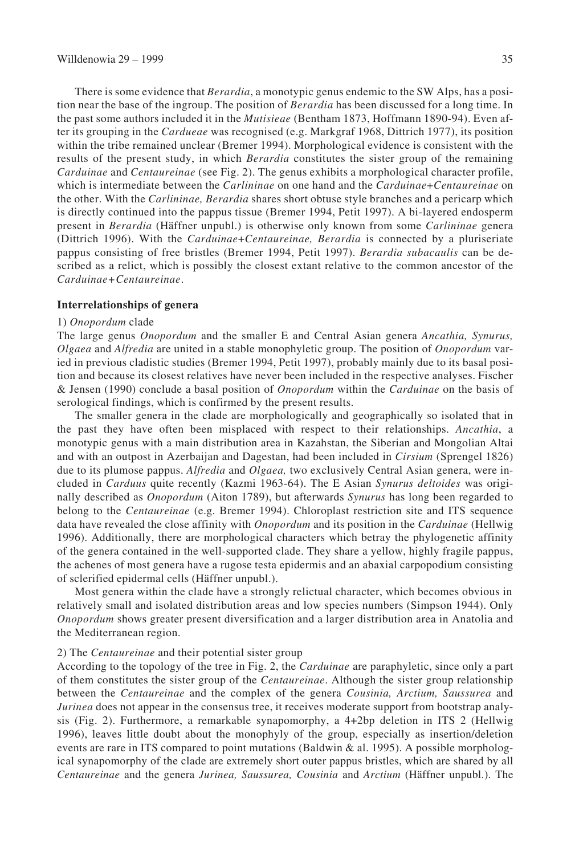There is some evidence that *Berardia*, a monotypic genus endemic to the SW Alps, has a position near the base of the ingroup. The position of *Berardia* has been discussed for a long time. In the past some authors included it in the *Mutisieae* (Bentham 1873, Hoffmann 1890-94). Even after its grouping in the *Cardueae* was recognised (e.g. Markgraf 1968, Dittrich 1977), its position within the tribe remained unclear (Bremer 1994). Morphological evidence is consistent with the results of the present study, in which *Berardia* constitutes the sister group of the remaining *Carduinae* and *Centaureinae* (see Fig. 2). The genus exhibits a morphological character profile, which is intermediate between the *Carlininae* on one hand and the *Carduinae*+*Centaureinae* on the other. With the *Carlininae, Berardia* shares short obtuse style branches and a pericarp which is directly continued into the pappus tissue (Bremer 1994, Petit 1997). A bi-layered endosperm present in *Berardia* (Häffner unpubl.) is otherwise only known from some *Carlininae* genera (Dittrich 1996). With the *Carduinae*+*Centaureinae, Berardia* is connected by a pluriseriate pappus consisting of free bristles (Bremer 1994, Petit 1997). *Berardia subacaulis* can be described as a relict, which is possibly the closest extant relative to the common ancestor of the *Carduinae+Centaureinae*.

#### **Interrelationships of genera**

#### 1) *Onopordum* clade

The large genus *Onopordum* and the smaller E and Central Asian genera *Ancathia, Synurus, Olgaea* and *Alfredia* are united in a stable monophyletic group. The position of *Onopordum* varied in previous cladistic studies (Bremer 1994, Petit 1997), probably mainly due to its basal position and because its closest relatives have never been included in the respective analyses. Fischer & Jensen (1990) conclude a basal position of *Onopordum* within the *Carduinae* on the basis of serological findings, which is confirmed by the present results.

The smaller genera in the clade are morphologically and geographically so isolated that in the past they have often been misplaced with respect to their relationships. *Ancathia*, a monotypic genus with a main distribution area in Kazahstan, the Siberian and Mongolian Altai and with an outpost in Azerbaijan and Dagestan, had been included in *Cirsium* (Sprengel 1826) due to its plumose pappus. *Alfredia* and *Olgaea,* two exclusively Central Asian genera, were included in *Carduus* quite recently (Kazmi 1963-64). The E Asian *Synurus deltoides* was originally described as *Onopordum* (Aiton 1789), but afterwards *Synurus* has long been regarded to belong to the *Centaureinae* (e.g. Bremer 1994). Chloroplast restriction site and ITS sequence data have revealed the close affinity with *Onopordum* and its position in the *Carduinae* (Hellwig 1996). Additionally, there are morphological characters which betray the phylogenetic affinity of the genera contained in the well-supported clade. They share a yellow, highly fragile pappus, the achenes of most genera have a rugose testa epidermis and an abaxial carpopodium consisting of sclerified epidermal cells (Häffner unpubl.).

Most genera within the clade have a strongly relictual character, which becomes obvious in relatively small and isolated distribution areas and low species numbers (Simpson 1944). Only *Onopordum* shows greater present diversification and a larger distribution area in Anatolia and the Mediterranean region.

## 2) The *Centaureinae* and their potential sister group

According to the topology of the tree in Fig. 2, the *Carduinae* are paraphyletic, since only a part of them constitutes the sister group of the *Centaureinae*. Although the sister group relationship between the *Centaureinae* and the complex of the genera *Cousinia, Arctium, Saussurea* and *Jurinea* does not appear in the consensus tree, it receives moderate support from bootstrap analysis (Fig. 2). Furthermore, a remarkable synapomorphy, a 4+2bp deletion in ITS 2 (Hellwig 1996), leaves little doubt about the monophyly of the group, especially as insertion/deletion events are rare in ITS compared to point mutations (Baldwin  $\&$  al. 1995). A possible morphological synapomorphy of the clade are extremely short outer pappus bristles, which are shared by all *Centaureinae* and the genera *Jurinea, Saussurea, Cousinia* and *Arctium* (Häffner unpubl.). The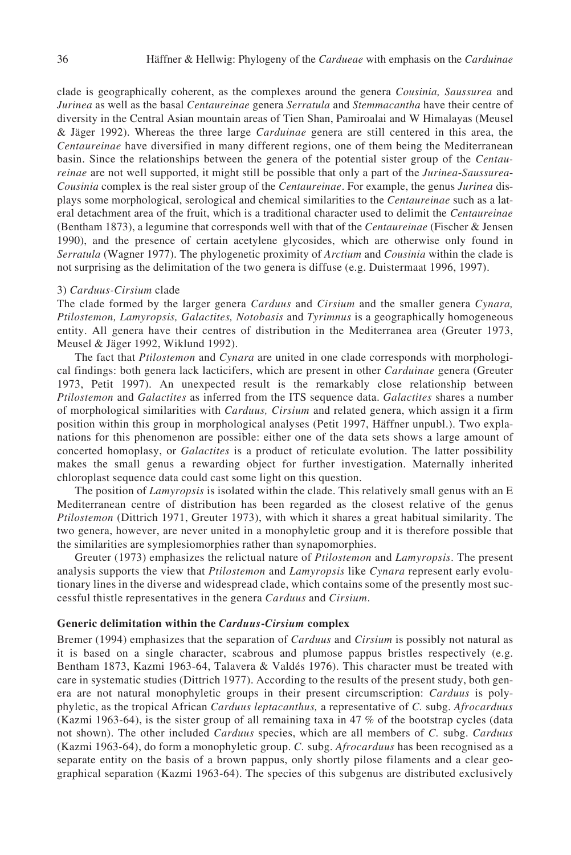clade is geographically coherent, as the complexes around the genera *Cousinia, Saussurea* and *Jurinea* as well as the basal *Centaureinae* genera *Serratula* and *Stemmacantha* have their centre of diversity in the Central Asian mountain areas of Tien Shan, Pamiroalai and W Himalayas (Meusel & Jäger 1992). Whereas the three large *Carduinae* genera are still centered in this area, the *Centaureinae* have diversified in many different regions, one of them being the Mediterranean basin. Since the relationships between the genera of the potential sister group of the *Centaureinae* are not well supported, it might still be possible that only a part of the *Jurinea*-*Saussurea*-*Cousinia* complex is the real sister group of the *Centaureinae*. For example, the genus *Jurinea* displays some morphological, serological and chemical similarities to the *Centaureinae* such as a lateral detachment area of the fruit, which is a traditional character used to delimit the *Centaureinae* (Bentham 1873), a legumine that corresponds well with that of the *Centaureinae* (Fischer & Jensen 1990), and the presence of certain acetylene glycosides, which are otherwise only found in *Serratula* (Wagner 1977). The phylogenetic proximity of *Arctium* and *Cousinia* within the clade is not surprising as the delimitation of the two genera is diffuse (e.g. Duistermaat 1996, 1997).

#### 3) *Carduus-Cirsium* clade

The clade formed by the larger genera *Carduus* and *Cirsium* and the smaller genera *Cynara, Ptilostemon, Lamyropsis, Galactites, Notobasis* and *Tyrimnus* is a geographically homogeneous entity. All genera have their centres of distribution in the Mediterranea area (Greuter 1973, Meusel & Jäger 1992, Wiklund 1992).

The fact that *Ptilostemon* and *Cynara* are united in one clade corresponds with morphological findings: both genera lack lacticifers, which are present in other *Carduinae* genera (Greuter 1973, Petit 1997). An unexpected result is the remarkably close relationship between *Ptilostemon* and *Galactites* as inferred from the ITS sequence data. *Galactites* shares a number of morphological similarities with *Carduus, Cirsium* and related genera, which assign it a firm position within this group in morphological analyses (Petit 1997, Häffner unpubl.). Two explanations for this phenomenon are possible: either one of the data sets shows a large amount of concerted homoplasy, or *Galactites* is a product of reticulate evolution. The latter possibility makes the small genus a rewarding object for further investigation. Maternally inherited chloroplast sequence data could cast some light on this question.

The position of *Lamyropsis* is isolated within the clade. This relatively small genus with an E Mediterranean centre of distribution has been regarded as the closest relative of the genus *Ptilostemon* (Dittrich 1971, Greuter 1973), with which it shares a great habitual similarity. The two genera, however, are never united in a monophyletic group and it is therefore possible that the similarities are symplesiomorphies rather than synapomorphies.

Greuter (1973) emphasizes the relictual nature of *Ptilostemon* and *Lamyropsis*. The present analysis supports the view that *Ptilostemon* and *Lamyropsis* like *Cynara* represent early evolutionary lines in the diverse and widespread clade, which contains some of the presently most successful thistle representatives in the genera *Carduus* and *Cirsium*.

#### **Generic delimitation within the** *Carduus***-***Cirsium* **complex**

Bremer (1994) emphasizes that the separation of *Carduus* and *Cirsium* is possibly not natural as it is based on a single character, scabrous and plumose pappus bristles respectively (e.g. Bentham 1873, Kazmi 1963-64, Talavera & Valdés 1976). This character must be treated with care in systematic studies (Dittrich 1977). According to the results of the present study, both genera are not natural monophyletic groups in their present circumscription: *Carduus* is polyphyletic, as the tropical African *Carduus leptacanthus,* a representative of *C.* subg. *Afrocarduus* (Kazmi 1963-64), is the sister group of all remaining taxa in 47 % of the bootstrap cycles (data not shown). The other included *Carduus* species, which are all members of *C.* subg. *Carduus* (Kazmi 1963-64), do form a monophyletic group. *C.* subg. *Afrocarduus* has been recognised as a separate entity on the basis of a brown pappus, only shortly pilose filaments and a clear geographical separation (Kazmi 1963-64). The species of this subgenus are distributed exclusively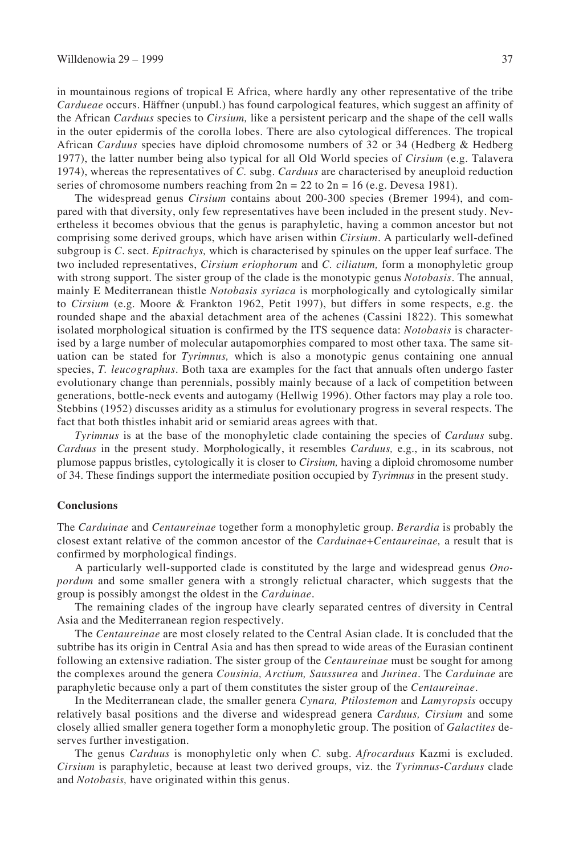in mountainous regions of tropical E Africa, where hardly any other representative of the tribe *Cardueae* occurs. Häffner (unpubl.) has found carpological features, which suggest an affinity of the African *Carduus* species to *Cirsium,* like a persistent pericarp and the shape of the cell walls in the outer epidermis of the corolla lobes. There are also cytological differences. The tropical African *Carduus* species have diploid chromosome numbers of 32 or 34 (Hedberg & Hedberg 1977), the latter number being also typical for all Old World species of *Cirsium* (e.g. Talavera 1974), whereas the representatives of *C.* subg. *Carduus* are characterised by aneuploid reduction series of chromosome numbers reaching from  $2n = 22$  to  $2n = 16$  (e.g. Devesa 1981).

The widespread genus *Cirsium* contains about 200-300 species (Bremer 1994), and compared with that diversity, only few representatives have been included in the present study. Nevertheless it becomes obvious that the genus is paraphyletic, having a common ancestor but not comprising some derived groups, which have arisen within *Cirsium*. A particularly well-defined subgroup is *C*. sect. *Epitrachys,* which is characterised by spinules on the upper leaf surface. The two included representatives, *Cirsium eriophorum* and *C. ciliatum,* form a monophyletic group with strong support. The sister group of the clade is the monotypic genus *Notobasis*. The annual, mainly E Mediterranean thistle *Notobasis syriaca* is morphologically and cytologically similar to *Cirsium* (e.g. Moore & Frankton 1962, Petit 1997), but differs in some respects, e.g. the rounded shape and the abaxial detachment area of the achenes (Cassini 1822). This somewhat isolated morphological situation is confirmed by the ITS sequence data: *Notobasis* is characterised by a large number of molecular autapomorphies compared to most other taxa. The same situation can be stated for *Tyrimnus,* which is also a monotypic genus containing one annual species, *T. leucographus*. Both taxa are examples for the fact that annuals often undergo faster evolutionary change than perennials, possibly mainly because of a lack of competition between generations, bottle-neck events and autogamy (Hellwig 1996). Other factors may play a role too. Stebbins (1952) discusses aridity as a stimulus for evolutionary progress in several respects. The fact that both thistles inhabit arid or semiarid areas agrees with that.

*Tyrimnus* is at the base of the monophyletic clade containing the species of *Carduus* subg. *Carduus* in the present study. Morphologically, it resembles *Carduus,* e.g., in its scabrous, not plumose pappus bristles, cytologically it is closer to *Cirsium,* having a diploid chromosome number of 34. These findings support the intermediate position occupied by *Tyrimnus* in the present study.

#### **Conclusions**

The *Carduinae* and *Centaureinae* together form a monophyletic group. *Berardia* is probably the closest extant relative of the common ancestor of the *Carduinae*+*Centaureinae,* a result that is confirmed by morphological findings.

A particularly well-supported clade is constituted by the large and widespread genus *Onopordum* and some smaller genera with a strongly relictual character, which suggests that the group is possibly amongst the oldest in the *Carduinae*.

The remaining clades of the ingroup have clearly separated centres of diversity in Central Asia and the Mediterranean region respectively.

The *Centaureinae* are most closely related to the Central Asian clade. It is concluded that the subtribe has its origin in Central Asia and has then spread to wide areas of the Eurasian continent following an extensive radiation. The sister group of the *Centaureinae* must be sought for among the complexes around the genera *Cousinia, Arctium, Saussurea* and *Jurinea*. The *Carduinae* are paraphyletic because only a part of them constitutes the sister group of the *Centaureinae*.

In the Mediterranean clade, the smaller genera *Cynara, Ptilostemon* and *Lamyropsis* occupy relatively basal positions and the diverse and widespread genera *Carduus, Cirsium* and some closely allied smaller genera together form a monophyletic group. The position of *Galactites* deserves further investigation.

The genus *Carduus* is monophyletic only when *C.* subg. *Afrocarduus* Kazmi is excluded. *Cirsium* is paraphyletic, because at least two derived groups, viz. the *Tyrimnus*-*Carduus* clade and *Notobasis,* have originated within this genus.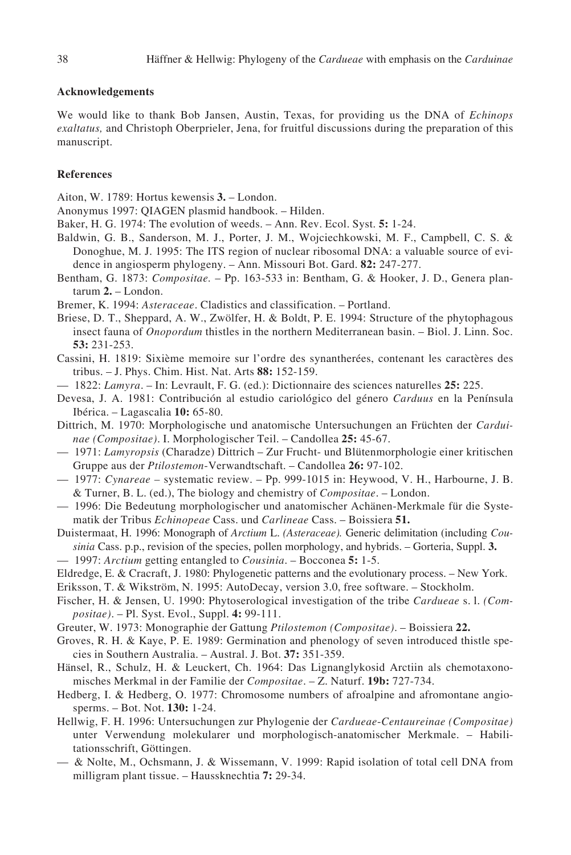# **Acknowledgements**

We would like to thank Bob Jansen, Austin, Texas, for providing us the DNA of *Echinops exaltatus,* and Christoph Oberprieler, Jena, for fruitful discussions during the preparation of this manuscript.

# **References**

- Aiton, W. 1789: Hortus kewensis **3.** London.
- Anonymus 1997: QIAGEN plasmid handbook. Hilden.
- Baker, H. G. 1974: The evolution of weeds. Ann. Rev. Ecol. Syst. **5:** 1-24.
- Baldwin, G. B., Sanderson, M. J., Porter, J. M., Wojciechkowski, M. F., Campbell, C. S. & Donoghue, M. J. 1995: The ITS region of nuclear ribosomal DNA: a valuable source of evidence in angiosperm phylogeny. – Ann. Missouri Bot. Gard. **82:** 247-277.
- Bentham, G. 1873: *Compositae.* Pp. 163-533 in: Bentham, G. & Hooker, J. D., Genera plantarum **2.** – London.
- Bremer, K. 1994: *Asteraceae*. Cladistics and classification. Portland.
- Briese, D. T., Sheppard, A. W., Zwölfer, H. & Boldt, P. E. 1994: Structure of the phytophagous insect fauna of *Onopordum* thistles in the northern Mediterranean basin. – Biol. J. Linn. Soc. **53:** 231-253.
- Cassini, H. 1819: Sixième memoire sur l'ordre des synantherées, contenant les caractères des tribus. – J. Phys. Chim. Hist. Nat. Arts **88:** 152-159.
- 1822: *Lamyra*. In: Levrault, F. G. (ed.): Dictionnaire des sciences naturelles **25:** 225.
- Devesa, J. A. 1981: Contribución al estudio cariológico del género *Carduus* en la Península Ibérica. – Lagascalia **10:** 65-80.
- Dittrich, M. 1970: Morphologische und anatomische Untersuchungen an Früchten der *Carduinae (Compositae)*. I. Morphologischer Teil. – Candollea **25:** 45-67.
- 1971: *Lamyropsis* (Charadze) Dittrich Zur Frucht- und Blütenmorphologie einer kritischen Gruppe aus der *Ptilostemon*-Verwandtschaft. – Candollea **26:** 97-102.
- 1977: *Cynareae –* systematic review. Pp. 999-1015 in: Heywood, V. H., Harbourne, J. B. & Turner, B. L. (ed.), The biology and chemistry of *Compositae*. – London.
- 1996: Die Bedeutung morphologischer und anatomischer Achänen-Merkmale für die Systematik der Tribus *Echinopeae* Cass. und *Carlineae* Cass. – Boissiera **51.**
- Duistermaat, H. 1996: Monograph of *Arctium* L. *(Asteraceae).* Generic delimitation (including *Cousinia* Cass. p.p., revision of the species, pollen morphology, and hybrids. – Gorteria, Suppl. **3.**
- 1997: *Arctium* getting entangled to *Cousinia*. Bocconea **5:** 1-5.
- Eldredge, E. & Cracraft, J. 1980: Phylogenetic patterns and the evolutionary process. New York.
- Eriksson, T. & Wikström, N. 1995: AutoDecay, version 3.0, free software. Stockholm.
- Fischer, H. & Jensen, U. 1990: Phytoserological investigation of the tribe *Cardueae* s. l. *(Compositae)*. – Pl. Syst. Evol., Suppl. **4:** 99-111.
- Greuter, W. 1973: Monographie der Gattung *Ptilostemon (Compositae)*. Boissiera **22.**
- Groves, R. H. & Kaye, P. E. 1989: Germination and phenology of seven introduced thistle species in Southern Australia. – Austral. J. Bot. **37:** 351-359.
- Hänsel, R., Schulz, H. & Leuckert, Ch. 1964: Das Lignanglykosid Arctiin als chemotaxonomisches Merkmal in der Familie der *Compositae*. – Z. Naturf. **19b:** 727-734.
- Hedberg, I. & Hedberg, O. 1977: Chromosome numbers of afroalpine and afromontane angiosperms. – Bot. Not. **130:** 1-24.
- Hellwig, F. H. 1996: Untersuchungen zur Phylogenie der *Cardueae*-*Centaureinae (Compositae)* unter Verwendung molekularer und morphologisch-anatomischer Merkmale. – Habilitationsschrift, Göttingen.
- & Nolte, M., Ochsmann, J. & Wissemann, V. 1999: Rapid isolation of total cell DNA from milligram plant tissue. – Haussknechtia **7:** 29-34.